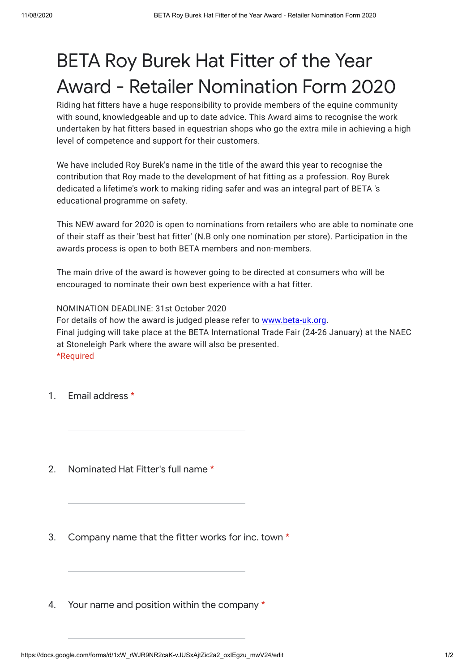## BETA Roy Burek Hat Fitter of the Year Award - Retailer Nomination Form 2020

Riding hat fitters have a huge responsibility to provide members of the equine community with sound, knowledgeable and up to date advice. This Award aims to recognise the work undertaken by hat fitters based in equestrian shops who go the extra mile in achieving a high level of competence and support for their customers.

We have included Roy Burek's name in the title of the award this year to recognise the contribution that Roy made to the development of hat fitting as a profession. Roy Burek dedicated a lifetime's work to making riding safer and was an integral part of BETA 's educational programme on safety.

This NEW award for 2020 is open to nominations from retailers who are able to nominate one of their staff as their 'best hat fitter' (N.B only one nomination per store). Participation in the awards process is open to both BETA members and non-members.

The main drive of the award is however going to be directed at consumers who will be encouraged to nominate their own best experience with a hat fitter.

NOMINATION DEADLINE: 31st October 2020 For details of how the award is judged please refer to [www.beta-uk.org](https://www.google.com/url?q=http://www.beta-uk.org&sa=D&ust=1597135467606000&usg=AFQjCNGWtC5ZJ_qzGBQbMLJw3gQitzVlCQ). Final judging will take place at the BETA International Trade Fair (24-26 January) at the NAEC at Stoneleigh Park where the aware will also be presented. \*Required

- 1. Email address \*
- $\mathcal{P}$ Nominated Hat Fitter's full name \*
- 3. Company name that the fitter works for inc. town \*
- 4. Your name and position within the company \*